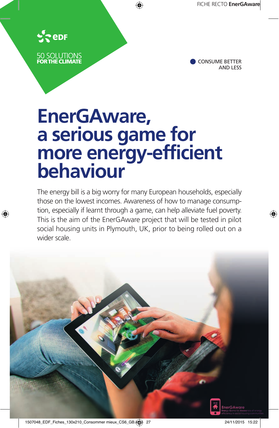

50 SOLUTIONS<br>**FOR THE CLIMATE** 



# **EnerGAware, a serious game for more energy-efficient behaviour**

The energy bill is a big worry for many European households, especially those on the lowest incomes. Awareness of how to manage consumption, especially if learnt through a game, can help alleviate fuel poverty. This is the aim of the EnerGAware project that will be tested in pilot social housing units in Plymouth, UK, prior to being rolled out on a wider scale.